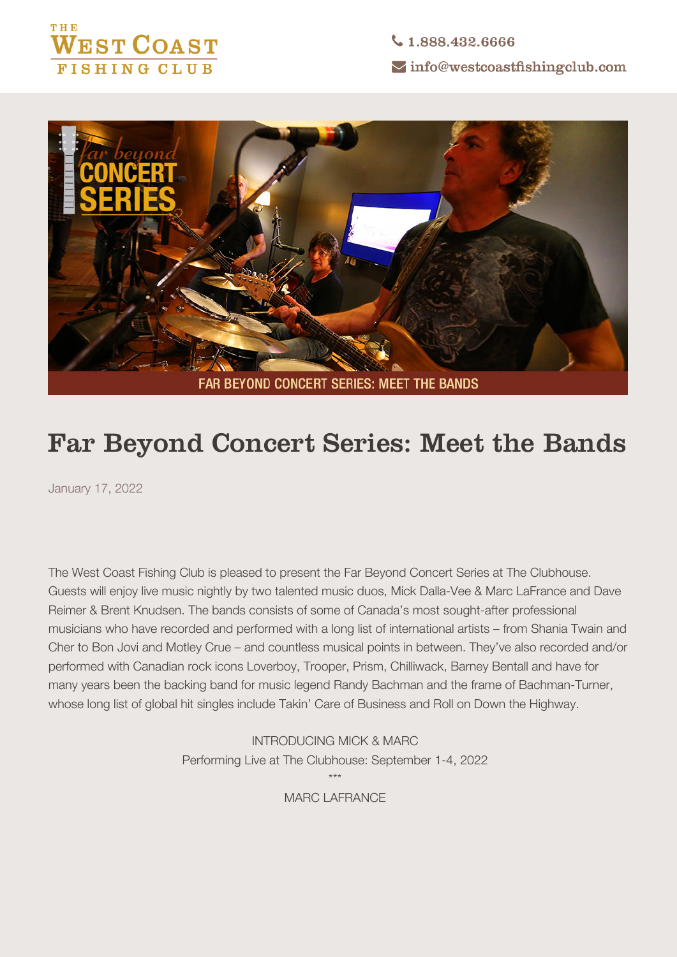

↓1.888.432.6666  $\sim$  info@westcoastfishingclub.com



## **Far Beyond Concert Series: Meet the Bands**

January 17, 2022

The West Coast Fishing Club is pleased to present the Far Beyond Concert Series at The Clubhouse. Guests will enjoy live music nightly by two talented music duos, Mick Dalla-Vee & Marc LaFrance and Dave Reimer & Brent Knudsen. The bands consists of some of Canada's most sought-after professional musicians who have recorded and performed with a long list of international artists – from Shania Twain and Cher to Bon Jovi and Motley Crue – and countless musical points in between. They've also recorded and/or performed with Canadian rock icons Loverboy, Trooper, Prism, Chilliwack, Barney Bentall and have for many years been the backing band for music legend Randy Bachman and the frame of Bachman-Turner, whose long list of global hit singles include Takin' Care of Business and Roll on Down the Highway.

> **INTRODUCING MICK & MARC** Performing Live at The Clubhouse: September 1-4, 2022 \*\*\* **MARC LAFRANCE**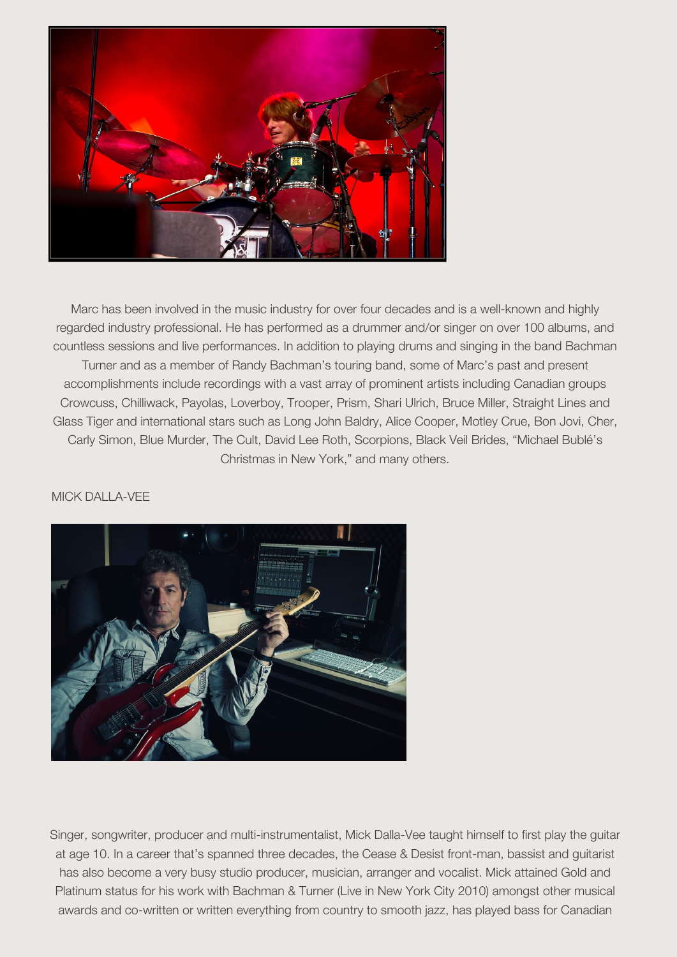

Marc has been involved in the music industry for over four decades and is a well-known and highly regarded industry professional. He has performed as a drummer and/or singer on over 100 albums, and countless sessions and live performances. In addition to playing drums and singing in the band Bachman Turner and as a member of Randy Bachman's touring band, some of Marc's past and present accomplishments include recordings with a vast array of prominent artists including Canadian groups Crowcuss, Chilliwack, Payolas, Loverboy, Trooper, Prism, Shari Ulrich, Bruce Miller, Straight Lines and Glass Tiger and international stars such as Long John Baldry, Alice Cooper, Motley Crue, Bon Jovi, Cher, Carly Simon, Blue Murder, The Cult, David Lee Roth, Scorpions, Black Veil Brides, "Michael Bublé's Christmas in New York," and many others.

## **MICK DALLA-VEE**



Singer, songwriter, producer and multi-instrumentalist, Mick Dalla-Vee taught himself to first play the guitar at age 10. In a career that's spanned three decades, the Cease & Desist front-man, bassist and guitarist has also become a very busy studio producer, musician, arranger and vocalist. Mick attained Gold and Platinum status for his work with Bachman & Turner (Live in New York City 2010) amongst other musical awards and co-written or written everything from country to smooth jazz, has played bass for Canadian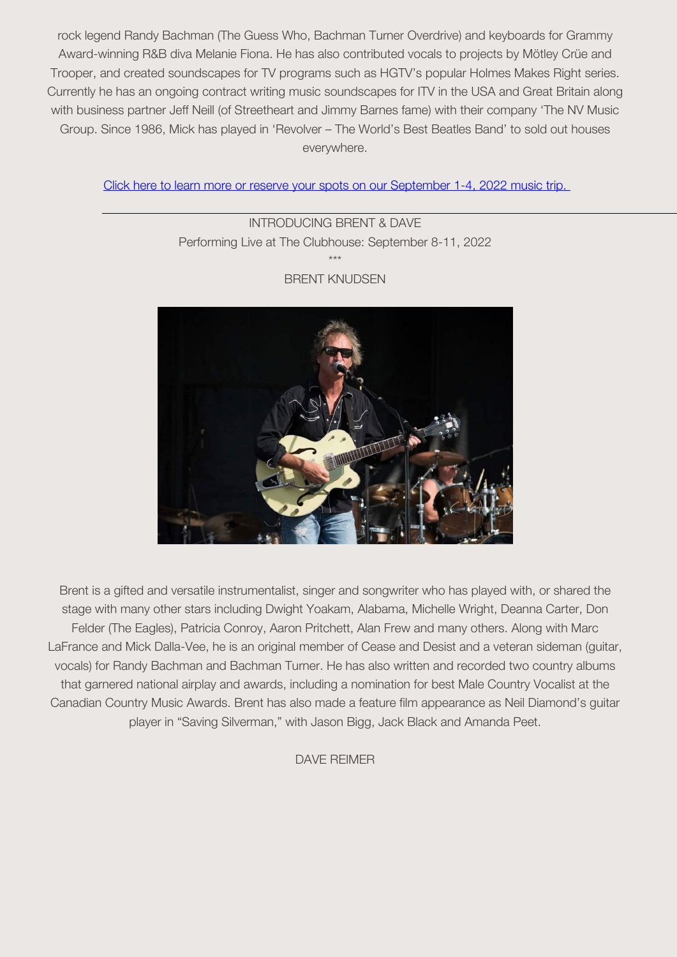rock legend Randy Bachman (The Guess Who, Bachman Turner Overdrive) and keyboards for Grammy Award-winning R&B diva Melanie Fiona. He has also contributed vocals to projects by Mötley Crüe and Trooper, and created soundscapes for TV programs such as HGTV's popular Holmes Makes Right series. Currently he has an ongoing contract writing music soundscapes for ITV in the USA and Great Britain along with business partner Jeff Neill (of Streetheart and Jimmy Barnes fame) with their company 'The NV Music Group. Since 1986, Mick has played in 'Revolver – The World's Best Beatles Band' to sold out houses everywhere.

Click here to learn more or reserve your spots on our September 1-4, 2022 music trip.

**INTRODUCING BRENT & DAVE** Performing Live at The Clubhouse: September 8-11, 2022 \*\*\*



## **BRENT KNUDSEN**

Brent is a gifted and versatile instrumentalist, singer and songwriter who has played with, or shared the stage with many other stars including Dwight Yoakam, Alabama, Michelle Wright, Deanna Carter, Don Felder (The Eagles), Patricia Conroy, Aaron Pritchett, Alan Frew and many others. Along with Marc LaFrance and Mick Dalla-Vee, he is an original member of Cease and Desist and a veteran sideman (guitar, vocals) for Randy Bachman and Bachman Turner. He has also written and recorded two country albums that garnered national airplay and awards, including a nomination for best Male Country Vocalist at the Canadian Country Music Awards. Brent has also made a feature film appearance as Neil Diamond's guitar player in "Saving Silverman," with Jason Bigg, Jack Black and Amanda Peet.

**DAVE REIMER**